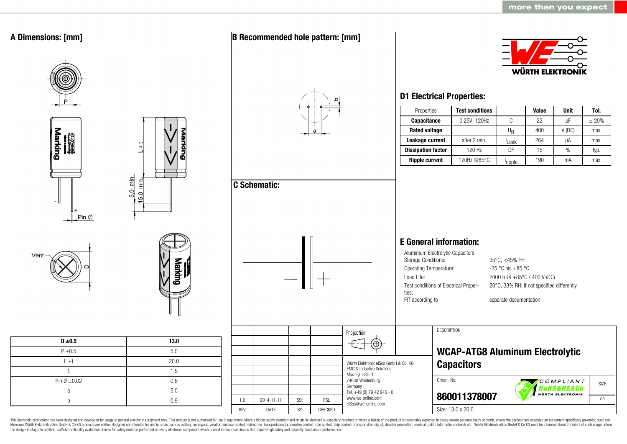

This electronic component has been designed and developed for usage in general electronic equipment only. This product is not authorized for use in equipment where a higher safety standard and reliability standard is espec Moreover Würth Elektronik eiSos GmbH & Co KG products are neither designed nor intended for use in areas such as military, aerospace, aviation, nuclear control, submarine, transportation (automotive control, ship control), the design-in stage. In addition, sufficient reliability evaluation checks for safety must be performed on every electronic component which is used in electrical circuits that require high safety and reliability functions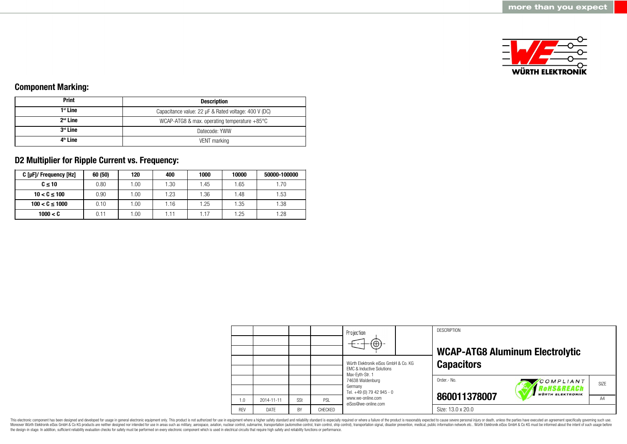

## **Component Marking:**

| <b>Print</b>         | <b>Description</b>                                     |  |  |  |
|----------------------|--------------------------------------------------------|--|--|--|
| 1 <sup>st</sup> Line | Capacitance value: 22 µF & Rated voltage: 400 V (DC)   |  |  |  |
| $2nd$ Line           | WCAP-ATG8 & max. operating temperature $+85^{\circ}$ C |  |  |  |
| 3 <sup>rd</sup> Line | Datecode: YWW                                          |  |  |  |
| 4 <sup>th</sup> Line | VENT marking                                           |  |  |  |

# **D2 Multiplier for Ripple Current vs. Frequency:**

| C [µF]/ Frequency [Hz] | 60 (50) | 120  | 400  | 1000  | 10000 | 50000-100000 |
|------------------------|---------|------|------|-------|-------|--------------|
| $C \leq 10$            | 0.80    | .00. | 1.30 | l .45 | 1.65  | .70          |
| $10 < C \le 100$       | 0.90    | .00  | 1.23 | .36   | 1.48  | 1.53         |
| $100 < C \le 1000$     | 0.10    | .00. | 1.16 | .25   | 1.35  | 1.38         |
| 1000 < C               | 0.11    | .00. | 1.11 |       | 1.25  | 1.28         |

|            |            |           |         | Projection<br>$\bigoplus$                                                                                                                                                                                |  | <b>DESCRIPTION</b> | <b>WCAP-ATG8 Aluminum Electrolytic</b>    |      |
|------------|------------|-----------|---------|----------------------------------------------------------------------------------------------------------------------------------------------------------------------------------------------------------|--|--------------------|-------------------------------------------|------|
|            |            |           |         | Würth Elektronik eiSos GmbH & Co. KG<br><b>EMC &amp; Inductive Solutions</b><br>Max-Eyth-Str. 1<br>74638 Waldenburg<br>Germany<br>Tel. +49 (0) 79 42 945 - 0<br>www.we-online.com<br>eiSos@we-online.com |  | <b>Capacitors</b>  |                                           |      |
|            |            |           |         |                                                                                                                                                                                                          |  | Order.- No.        | COMPLIANT<br><i><b>?oHS&amp;REACh</b></i> | SIZE |
| 1.0        | 2014-11-11 | SSt       | PSL     |                                                                                                                                                                                                          |  | 860011378007       | <b>WÜRTH ELEKTRONIK</b>                   | A4   |
| <b>RFV</b> | DATE       | <b>BY</b> | CHECKED |                                                                                                                                                                                                          |  | Size: 13.0 x 20.0  |                                           |      |

This electronic component has been designed and developed for usage in general electronic equipment only. This product is not authorized for use in equipment where a higher safety standard and reliability standard is espec Moreover Würth Elektronik eiSos GmbH & Co KG products are neither designed nor intended for use in areas such as military, aerospace, aviation, nuclear control, submarine, transportation (automotive control), stain control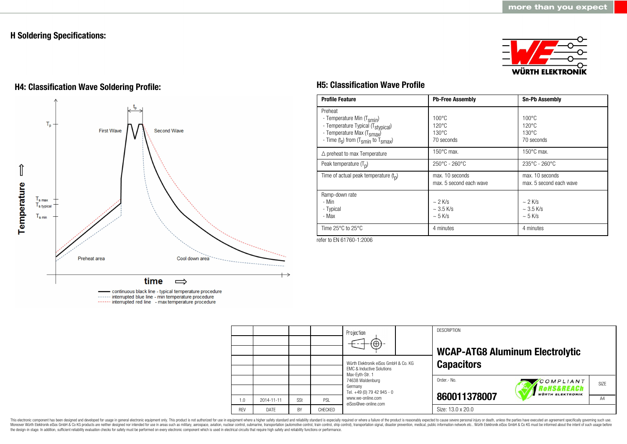## **H Soldering Specifications:**



# **H4: Classification Wave Soldering Profile: H5: Classification Wave Profile**



continuous black line - typical temperature procedure ------ interrupted blue line - min temperature procedure ------ interrupted red line - max temperature procedure

| <b>Profile Feature</b>                                                                                                                                                                          | <b>Pb-Free Assembly</b>                                            | <b>Sn-Pb Assembly</b>                                               |
|-------------------------------------------------------------------------------------------------------------------------------------------------------------------------------------------------|--------------------------------------------------------------------|---------------------------------------------------------------------|
| Preheat<br>- Temperature Min (T <sub>smin</sub> )<br>- Temperature Typical (T <sub>stypical</sub> )<br>- Temperature Max (T <sub>smax</sub> )<br>- Time $(t_s)$ from $(T_{smin}$ to $T_{smax})$ | $100\degree$ C<br>$120^{\circ}$ C<br>$130^{\circ}$ C<br>70 seconds | $100^{\circ}$ C<br>$120^{\circ}$ C<br>$130^{\circ}$ C<br>70 seconds |
| $\triangle$ preheat to max Temperature                                                                                                                                                          | $150^{\circ}$ C max.                                               | $150^{\circ}$ C max.                                                |
| Peak temperature $(T_n)$                                                                                                                                                                        | $250^{\circ}$ C - 260 $^{\circ}$ C                                 | 235°C - 260°C                                                       |
| Time of actual peak temperature $(t_0)$                                                                                                                                                         | max. 10 seconds<br>max. 5 second each wave                         | max. 10 seconds<br>max. 5 second each wave                          |
| Ramp-down rate<br>- Min<br>- Typical<br>- Max                                                                                                                                                   | $\sim$ 2 K/s<br>$\sim$ 3.5 K/s<br>$\sim$ 5 K/s                     | $\sim$ 2 K/s<br>$~\sim$ 3.5 K/s<br>$\sim$ 5 K/s                     |
| Time $25^{\circ}$ C to $25^{\circ}$ C                                                                                                                                                           | 4 minutes                                                          | 4 minutes                                                           |

refer to EN 61760-1:2006

|            |             |     |         | Projection<br>$\bigoplus$                                                                                                                                                                                |  | <b>DESCRIPTION</b> | <b>WCAP-ATG8 Aluminum Electrolytic</b>             |                |  |
|------------|-------------|-----|---------|----------------------------------------------------------------------------------------------------------------------------------------------------------------------------------------------------------|--|--------------------|----------------------------------------------------|----------------|--|
|            |             |     |         | Würth Elektronik eiSos GmbH & Co. KG<br><b>EMC &amp; Inductive Solutions</b><br>Max-Evth-Str. 1<br>74638 Waldenburg<br>Germany<br>Tel. +49 (0) 79 42 945 - 0<br>www.we-online.com<br>eiSos@we-online.com |  | <b>Capacitors</b>  |                                                    |                |  |
|            |             |     |         |                                                                                                                                                                                                          |  | Order.- No.        | COMPLIANT<br>'oHS&REACh<br><b>WÜRTH ELEKTRONIK</b> | SIZE           |  |
| 1.0        | 2014-11-11  | SSt | PSL     |                                                                                                                                                                                                          |  | 860011378007       |                                                    | A <sub>4</sub> |  |
| <b>REV</b> | <b>DATE</b> | BY  | CHECKED |                                                                                                                                                                                                          |  | Size: 13.0 x 20.0  |                                                    |                |  |

This electronic component has been designed and developed for usage in general electronic equipment only. This product is not authorized for use in equipment where a higher safety standard and reliability standard and reli Moreover Würth Elektronik eiSos GmbH & Co KG products are neither designed nor intended for use in areas such as military, aerospace, aviation, nuclear control, submarine, transportation (automotive control), stain control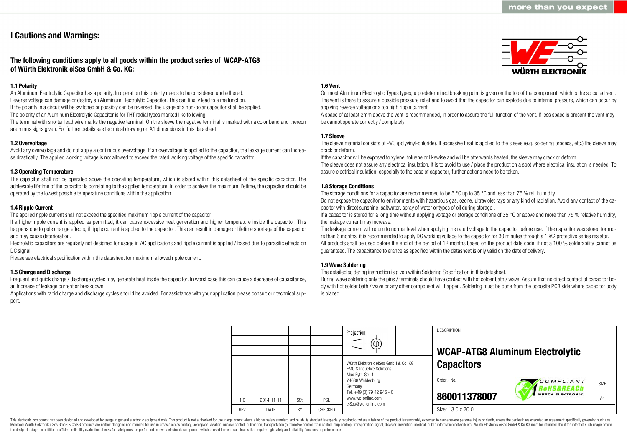## **I Cautions and Warnings:**

## **The following conditions apply to all goods within the product series of WCAP-ATG8 of Würth Elektronik eiSos GmbH & Co. KG:**

### **1.1 Polarity**

An Aluminum Electrolytic Capacitor has a polarity. In operation this polarity needs to be considered and adhered. Reverse voltage can damage or destroy an Aluminum Electrolytic Capacitor. This can finally lead to a malfunction. If the polarity in a circuit will be switched or possibly can be reversed, the usage of a non-polar capacitor shall be applied. The polarity of an Aluminum Electrolytic Capacitor is for THT radial types marked like following.

The terminal with shorter lead wire marks the negative terminal. On the sleeve the negative terminal is marked with a color band and thereon are minus signs given. For further details see technical drawing on A1 dimensions in this datasheet.

### **1.2 Overvoltage**

Avoid any overvoltage and do not apply a continuous overvoltage. If an overvoltage is applied to the capacitor, the leakage current can increase drastically. The applied working voltage is not allowed to exceed the rated working voltage of the specific capacitor.

#### **1.3 Operating Temperature**

The capacitor shall not be operated above the operating temperature, which is stated within this datasheet of the specific capacitor. The achievable lifetime of the capacitor is correlating to the applied temperature. In order to achieve the maximum lifetime, the capacitor should be operated by the lowest possible temperature conditions within the application.

#### **1.4 Ripple Current**

The applied ripple current shall not exceed the specified maximum ripple current of the capacitor.

If a higher ripple current is applied as permitted, it can cause excessive heat generation and higher temperature inside the capacitor. This happens due to pole change effects, if ripple current is applied to the capacitor. This can result in damage or lifetime shortage of the capacitor and may cause deterioration.

Electrolytic capacitors are regularly not designed for usage in AC applications and ripple current is applied / based due to parasitic effects on DC signal.

Please see electrical specification within this datasheet for maximum allowed ripple current.

#### **1.5 Charge and Discharge**

Frequent and quick charge / discharge cycles may generate heat inside the capacitor. In worst case this can cause a decrease of capacitance, an increase of leakage current or breakdown.

Applications with rapid charge and discharge cycles should be avoided. For assistance with your application please consult our technical support.

#### **1.6 Vent**

On most Aluminum Electrolytic Types types, a predetermined breaking point is given on the top of the component, which is the so called vent. The vent is there to assure a possible pressure relief and to avoid that the capacitor can explode due to internal pressure, which can occur by applying reverse voltage or a too high ripple current.

A space of at least 3mm above the vent is recommended, in order to assure the full function of the vent. If less space is present the vent maybe cannot operate correctly / completely.

#### **1.7 Sleeve**

The sleeve material consists of PVC (polyvinyl-chloride). If excessive heat is applied to the sleeve (e.g. soldering process, etc.) the sleeve may crack or deform.

If the capacitor will be exposed to xylene, toluene or likewise and will be afterwards heated, the sleeve may crack or deform.

The sleeve does not assure any electrical insulation. It is to avoid to use / place the product on a spot where electrical insulation is needed. To assure electrical insulation, especially to the case of capacitor, further actions need to be taken.

#### **1.8 Storage Conditions**

The storage conditions for a capacitor are recommended to be 5 °C up to 35 °C and less than 75 % rel. humidity.

Do not expose the capacitor to environments with hazardous gas, ozone, ultraviolet rays or any kind of radiation. Avoid any contact of the capacitor with direct sunshine, saltwater, spray of water or types of oil during storage..

If a capacitor is stored for a long time without applying voltage or storage conditions of 35 °C or above and more than 75 % relative humidity, the leakage current may increase.

The leakage current will return to normal level when applying the rated voltage to the capacitor before use. If the capacitor was stored for more than 6 months, it is recommended to apply DC working voltage to the capacitor for 30 minutes through a 1 kΩ protective series resistor. All products shall be used before the end of the period of 12 months based on the product date code, if not a 100 % solderability cannot be guaranteed. The capacitance tolerance as specified within the datasheet is only valid on the date of delivery.

#### **1.9 Wave Soldering**

The detailed soldering instruction is given within Soldering Specification in this datasheet.

During wave soldering only the pins / terminals should have contact with hot solder bath / wave. Assure that no direct contact of capacitor body with hot solder bath / wave or any other component will happen. Soldering must be done from the opposite PCB side where capacitor body is placed.

|            |             |     |         | Projection<br>$\bigoplus$                                                    |  | <b>DESCRIPTION</b><br><b>WCAP-ATG8 Aluminum Electrolytic</b> |                                                    |                   |  |
|------------|-------------|-----|---------|------------------------------------------------------------------------------|--|--------------------------------------------------------------|----------------------------------------------------|-------------------|--|
|            |             |     |         | Würth Elektronik eiSos GmbH & Co. KG<br><b>EMC &amp; Inductive Solutions</b> |  | <b>Capacitors</b>                                            |                                                    |                   |  |
|            |             |     |         | Max-Evth-Str. 1<br>74638 Waldenburg<br>Germany<br>Tel. +49 (0) 79 42 945 - 0 |  | Order.- No.                                                  | COMPLIANT<br>RoHS&REACh<br><b>WÜRTH ELEKTRONIK</b> | SI <sub>7</sub> F |  |
| 1.0        | 2014-11-11  | SSt | PSL     | www.we-online.com                                                            |  | 860011378007                                                 |                                                    | A4                |  |
| <b>RFV</b> | <b>DATF</b> | BY  | CHECKED | eiSos@we-online.com                                                          |  | Size: 13.0 x 20.0                                            |                                                    |                   |  |

This electronic component has been designed and developed for usage in general electronic equipment only. This product is not authorized for use in equipment where a higher safety standard and reliability standard is espec Moreover Würth Elektronik eiSos GmbH & Co KG products are neither designed nor intended for use in areas such as military, aerospace, aviation, nuclear control, submarine, transportation (automotive control), tain control) the design-in stage. In addition, sufficient reliability evaluation checks for safety must be performed on every electronic component which is used in electrical circuits that require high safety and reliability functions

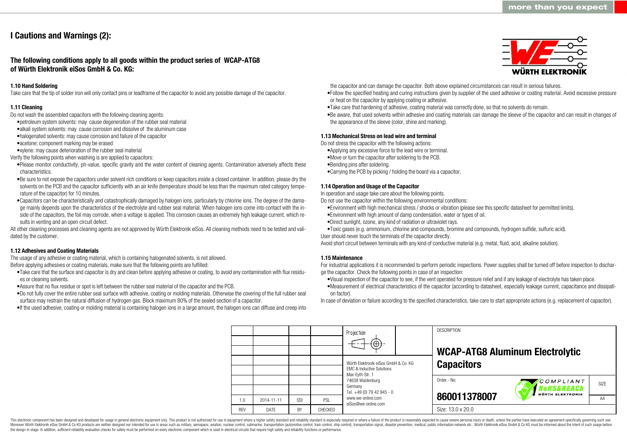# **I Cautions and Warnings (2):**

**The following conditions apply to all goods within the product series of WCAP-ATG8 of Würth Elektronik eiSos GmbH & Co. KG:**

#### **1.10 Hand Soldering**

Take care that the tip of solder iron will only contact pins or leadframe of the capacitor to avoid any possible damage of the capacitor.

#### **1.11 Cleaning**

Do not wash the assembled capacitors with the following cleaning agents:

- •petroleum system solvents: may cause degeneration of the rubber seal material
- •alkali system solvents: may cause corrosion and dissolve of the aluminum case
- •halogenated solvents: may cause corrosion and failure of the capacitor
- •acetone: component marking may be erased
- •xylene: may cause deterioration of the rubber seal material
- Verify the following points when washing is are applied to capacitors:
- •Please monitor conductivity, ph-value, specific gravity and the water content of cleaning agents. Contamination adversely affects these characteristics.
- •Be sure to not expose the capacitors under solvent rich conditions or keep capacitors inside a closed container. In addition, please dry the solvents on the PCB and the capacitor sufficiently with an air knife (temperature should be less than the maximum rated category temperature of the capacitor) for 10 minutes.
- •Capacitors can be characteristically and catastrophically damaged by halogen ions, particularly by chlorine ions. The degree of the damage mainly depends upon the characteristics of the electrolyte and rubber seal material. When halogen ions come into contact with the inside of the capacitors, the foil may corrode, when a voltage is applied. This corrosion causes an extremely high leakage current, which results in venting and an open circuit defect.

All other cleaning processes and cleaning agents are not approved by Würth Elektronik eiSos. All cleaning methods need to be tested and validated by the customer.

#### **1.12 Adhesives and Coating Materials**

The usage of any adhesive or coating material, which is containing halogenated solvents, is not allowed. Before applying adhesives or coating materials, make sure that the following points are fulfilled:

- •Take care that the surface and capacitor is dry and clean before applying adhesive or coating, to avoid any contamination with flux residues or cleaning solvents.
- •Assure that no flux residue or spot is left between the rubber seal material of the capacitor and the PCB.
- •Do not fully cover the entire rubber seal surface with adhesive, coating or molding materials. Otherwise the covering of the full rubber seal surface may restrain the natural diffusion of hydrogen gas. Block maximum 80% of the sealed section of a capacitor.
- •If the used adhesive, coating or molding material is containing halogen ions in a large amount, the halogen ions can diffuse and creep into



the capacitor and can damage the capacitor. Both above explained circumstances can result in serious failures.

- •Follow the specified heating and curing instructions given by supplier of the used adhesive or coating material. Avoid excessive pressure or heat on the capacitor by applying coating or adhesive.
- •Take care that hardening of adhesive, coating material was correctly done, so that no solvents do remain.
- •Be aware, that used solvents within adhesive and coating materials can damage the sleeve of the capacitor and can result in changes of the appearance of the sleeve (color, shine and marking).

#### **1.13 Mechanical Stress on lead wire and terminal**

Do not stress the capacitor with the following actions:

- •Applying any excessive force to the lead wire or terminal.
- •Move or turn the capacitor after soldering to the PCB.
- •Bending pins after soldering.
- •Carrying the PCB by picking / holding the board via a capacitor.

#### **1.14 Operation and Usage of the Capacitor**

In operation and usage take care about the following points.

Do not use the capacitor within the following environmental conditions:

- •Environment with high mechanical stress / shocks or vibration (please see this specific datasheet for permitted limits).
- •Environment with high amount of damp condensation, water or types of oil.
- •Direct sunlight, ozone, any kind of radiation or ultraviolet rays.
- •Toxic gases (e.g. ammonium, chlorine and compounds, bromine and compounds, hydrogen sulfide, sulfuric acid).
- User should never touch the terminals of the capacitor directly.

Avoid short circuit between terminals with any kind of conductive material (e.g. metal, fluid, acid, alkaline solution).

#### **1.15 Maintenance**

For industrial applications it is recommended to perform periodic inspections. Power supplies shall be turned off before inspection to discharge the capacitor. Check the following points in case of an inspection:

- •Visual inspection of the capacitor to see, if the vent operated for pressure relief and if any leakage of electrolyte has taken place.
- •Measurement of electrical characteristics of the capacitor (according to datasheet, especially leakage current, capacitance and dissipation factor).

In case of deviation or failure according to the specified characteristics, take care to start appropriate actions (e.g. replacement of capacitor).

**DESCRIPTION** Projection **WCAP-ATG8 Aluminum Electrolytic** Würth Elektronik eiSos GmbH & Co. KG **Capacitors** EMC & Inductive Solutions Max-Eyth-Str. 1 74638 Waldenburg Order.- No. COMPLIANT SIZE Germany **RoHS&REACh** Tel. +49 (0) 79 42 945 - 0 **VÜRTH ELEKTRONIK 860011378007** www.we-online.com A<sub>4</sub> 1.0 2014-11-11 S<sub>St</sub> PSL eiSos@we-online.com Size: 13.0 x 20.0 REV DATE BY CHECKED

This electronic component has been designed and developed for usage in general electronic equipment only. This product is not authorized for use in equipment where a higher safety standard and reliability standard and reli Moreover Würth Elektronik eiSos GmbH & Co KG products are neither designed nor intended for use in areas such as military, aerospace, aviation, nuclear control, submarine, transportation (automotive control), tain control) the design-in stage. In addition, sufficient reliability evaluation checks for safety must be performed on every electronic component which is used in electrical circuits that require high safety and reliability functions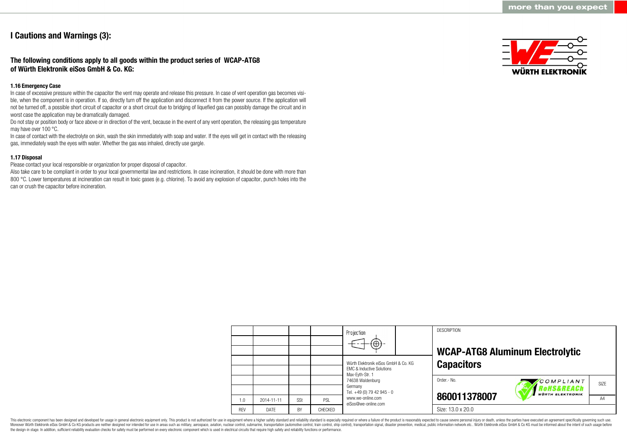# **I Cautions and Warnings (3):**

## **The following conditions apply to all goods within the product series of WCAP-ATG8 of Würth Elektronik eiSos GmbH & Co. KG:**

#### **1.16 Emergency Case**

In case of excessive pressure within the capacitor the vent may operate and release this pressure. In case of vent operation gas becomes visible, when the component is in operation. If so, directly turn off the application and disconnect it from the power source. If the application will not be turned off, a possible short circuit of capacitor or a short circuit due to bridging of liquefied gas can possibly damage the circuit and in worst case the application may be dramatically damaged.

Do not stay or position body or face above or in direction of the vent, because in the event of any vent operation, the releasing gas temperature may have over 100 °C.

In case of contact with the electrolyte on skin, wash the skin immediately with soap and water. If the eyes will get in contact with the releasing gas, immediately wash the eyes with water. Whether the gas was inhaled, directly use gargle.

### **1.17 Disposal**

Please contact your local responsible or organization for proper disposal of capacitor.

Also take care to be compliant in order to your local governmental law and restrictions. In case incineration, it should be done with more than 800 °C. Lower temperatures at incineration can result in toxic gases (e.g. chlorine). To avoid any explosion of capacitor, punch holes into the can or crush the capacitor before incineration.



|            |            |     |                | Projection<br>$\Theta$                                                       | <b>DESCRIPTION</b> | <b>WCAP-ATG8 Aluminum Electrolytic</b>            |                |
|------------|------------|-----|----------------|------------------------------------------------------------------------------|--------------------|---------------------------------------------------|----------------|
|            |            |     |                | Würth Elektronik eiSos GmbH & Co. KG<br><b>EMC &amp; Inductive Solutions</b> | <b>Capacitors</b>  |                                                   |                |
|            |            |     |                | Max-Eyth-Str. 1<br>74638 Waldenburg<br>Germany<br>Tel. +49 (0) 79 42 945 - 0 | Order.- No.        | COMPLIANT<br>oHS&REACh<br><b>WÜRTH ELEKTRONIK</b> | SIZE           |
| 1.0        | 2014-11-11 | SSt | PSL            | www.we-online.com<br>eiSos@we-online.com                                     | 860011378007       |                                                   | A <sub>4</sub> |
| <b>REV</b> | DATE       | BY  | <b>CHECKED</b> |                                                                              | Size: 13.0 x 20.0  |                                                   |                |

This electronic component has been designed and developed for usage in general electronic equipment only. This product is not authorized for use in equipment where a higher safety standard and reliability standard is espec Moreover Würth Elektronik eiSos GmbH & Co KG products are neither designed nor intended for use in areas such as military, aerospace, aviation, nuclear control, submarine, transportation (automotive control, ship control), the design-in stage. In addition, sufficient reliability evaluation checks for safety must be performed on every electronic component which is used in electrical circuits that require high safety and reliability functions